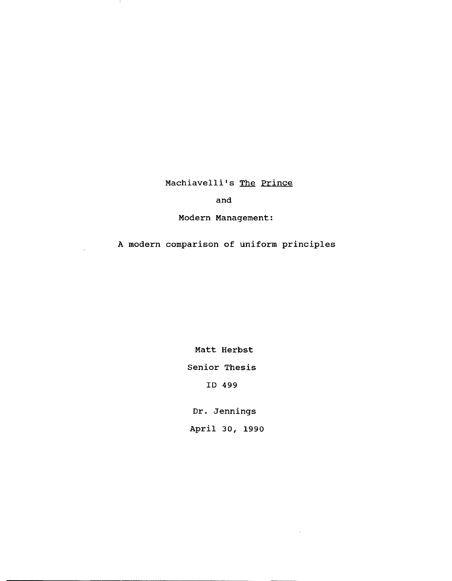Machiavelli's The Prince

- 11

## and

Modern Management:

A modern comparison of uniform principles

Matt Herbst Senior Thesis ID 499

Dr. Jennings

April 30, 1990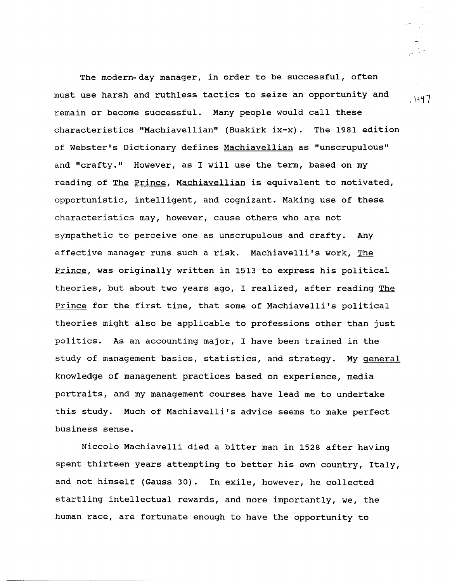The modern-day manager, in order to be successful, often must use harsh and ruthless tactics to seize an opportunity and remain or become successful. Many people would call these characteristics "Machiavellian" (Buskirk ix-x). The 1981 edition of Webster's Dictionary defines Machiavellian as "unscrupulous" and "crafty." However, as I will use the term, based on my reading of The Prince, Machiavellian is equivalent to motivated, opportunistic, intelligent, and cognizant. Making use of these characteristics may, however, cause others who are not sympathetic to perceive one as unscrupulous and crafty. Any effective manager runs such a risk. Machiavelli's work, The Prince, was originally written in 1513 to express his political theories, but about two years ago, I realized, after reading The Prince for the first time, that some of Machiavelli's political theories might also be applicable to professions other than just politics. As an accounting major, I have been trained in the study of management basics, statistics, and strategy. My general knowledge of management practices based on experience, media portraits, and my management courses have lead me to undertake this study. Much of Machiavelli's advice seems to make perfect business sense.

Niccolo Machiavelli died a bitter man in 1528 after having spent thirteen years attempting to better his own country, Italy, and not himself (Gauss 30). In exile, however, he collected startling intellectual rewards, and more importantly, we, the human race, are fortunate enough to have the opportunity to

.  $1447$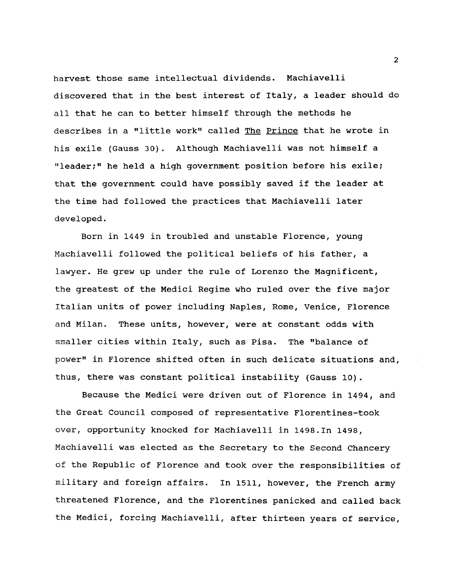harvest those same intellectual dividends. Machiavelli discovered that in the best interest of Italy, a leader should do all that he can to better himself through the methods he describes in a "little work" called The Prince that he wrote in his exile (Gauss 30). Although Machiavelli was not himself a "leader;" he held a high government position before his exile; that the government could have possibly saved if the leader at the time had followed the practices that Machiavelli later developed.

Born in 1449 in troubled and unstable Florence, young Machiavelli followed the political beliefs of his father, a lawyer. He grew up under the rule of Lorenzo the Magnificent, the greatest of the Medici Regime who ruled over the five major Italian units of power including Naples, Rome, Venice, Florence and Milan. These units, however, were at constant odds with smaller cities within Italy, such as Pisa. The "balance of power" in Florence shifted often in such delicate situations and, thus, there was constant political instability (Gauss 10).

Because the Medici were driven out of Florence in 1494, and the Great Council composed of representative Florentines-took over, opportunity knocked for Machiavelli in 1498.In 1498, Machiavelli was elected as the Secretary to the Second Chancery of the Republic of Florence and took over the responsibilities of military and foreign affairs. In 1511, however, the French army threatened Florence, and the Florentines panicked and called back the Medici, forcing Machiavelli, after thirteen years of service,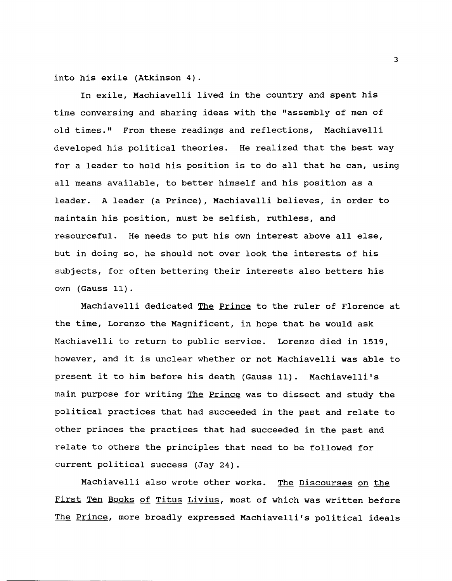into his exile (Atkinson 4).

In exile, Machiavelli lived in the country and spent his time conversing and sharing ideas with the "assembly of men of old times." From these readings and reflections, Machiavelli developed his political theories. He realized that the best way for a leader to hold his position is to do all that he can, using all means available, to better himself and his position as a leader. A leader (a Prince), Machiavelli believes, in order to maintain his position, must be selfish, ruthless, and resourceful. He needs to put his own interest above all else, but in doing so, he should not over look the interests of his subjects, for often bettering their interests also betters his own (Gauss 11).

Machiavelli dedicated The Prince to the ruler of Florence at the time, Lorenzo the Magnificent, in hope that he would ask Machiavelli to return to public service. Lorenzo died in 1519, however, and it is unclear whether or not Machiavelli was able to present it to him before his death (Gauss 11). Machiavelli's main purpose for writing The Prince was to dissect and study the political practices that had succeeded in the past and relate to other princes the practices that had succeeded in the past and relate to others the principles that need to be followed for current political success (Jay 24).

Machiavelli also wrote other works. The Discourses on the First Ten Books of Titus Livius, most of which was written before The Prince, more broadly expressed Machiavelli's political ideals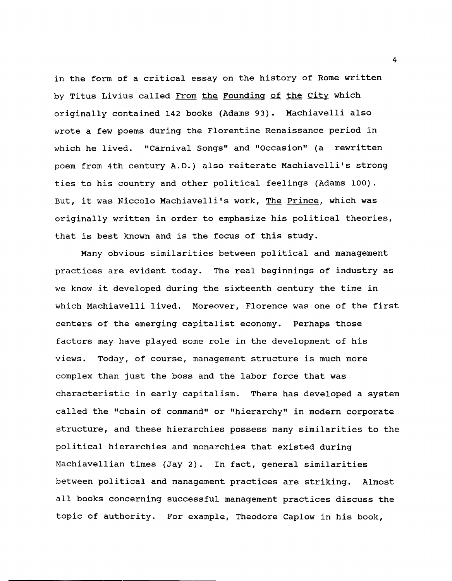in the form of a critical essay on the history of Rome written by Titus Livius called From the Founding of the city which originally contained 142 books (Adams 93). Machiavelli also wrote a few poems during the Florentine Renaissance period in which he lived. "Carnival Songs" and "Occasion" (a rewritten poem from 4th century A.D.) also reiterate Machiavelli's strong ties to his country and other political feelings (Adams 100). But, it was Niccolo Machiavelli's work, The Prince, which was originally written in order to emphasize his political theories, that is best known and is the focus of this study.

Many obvious similarities between political and management practices are evident today. The real beginnings of industry as we know it developed during the sixteenth century the time in which Machiavelli lived. Moreover, Florence was one of the first centers of the emerging capitalist economy. Perhaps those factors may have played some role in the development of his views. Today, of course, management structure is much more complex than just the boss and the labor force that was characteristic in early capitalism. There has developed a system called the "chain of command" or "hierarchy" in modern corporate structure, and these hierarchies possess many similarities to the political hierarchies and monarchies that existed during Machiavellian times (Jay 2). In fact, general similarities between political and management practices are striking. Almost all books concerning successful management practices discuss the topic of authority. For example, Theodore Caplow in his book,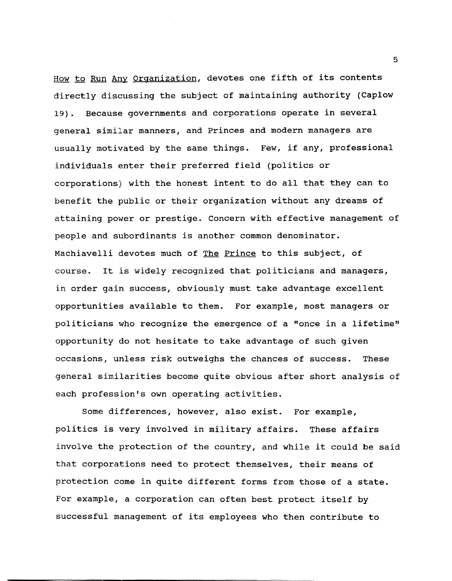How to Run Any Organization, devotes one fifth of its contents directly discussing the subject of maintaining authority (Caplow 19). Because governments and corporations operate in several general similar manners, and Princes and modern managers are usually motivated by the same things. Few, if any, professional individuals enter their preferred field (politics or corporations) with the honest intent to do all that they can to benefit the public or their organization without any dreams of attaining power or prestige. Concern with effective management of people and subordinants is another common denominator. Machiavelli devotes much of The Prince to this subject, of course. It is widely recognized that politicians and managers, in order gain success, obviously must take advantage excellent opportunities available to them. For example, most managers or politicians who recognize the emergence of a "once in a lifetime" opportunity do not hesitate to take advantage of such given occasions, unless risk outweighs the chances of success. These general similarities become quite obvious after short analysis of each profession's own operating activities.

Some differences, however, also exist. For example, politics is very involved in military affairs. These affairs involve the protection of the country, and while it could be said that corporations need to protect themselves, their means of protection come in quite different forms from those of a state. For example, a corporation can often best protect itself by successful management of its employees who then contribute to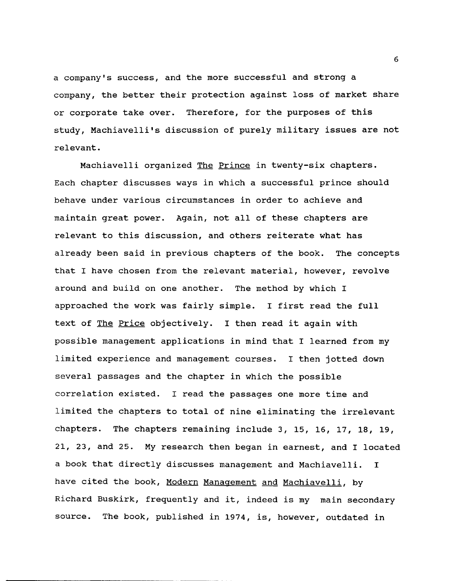a company's success, and the more successful and strong a company, the better their protection against loss of market share or corporate take over. Therefore, for the purposes of this study, Machiavelli's discussion of purely military issues are not relevant.

Machiavelli organized The Prince in twenty-six chapters. Each chapter discusses ways in which a successful prince should behave under various circumstances in order to achieve and maintain great power. Again, not all of these chapters are relevant to this discussion, and others reiterate what has already been said in previous chapters of the book. The concepts that I have chosen from the relevant material, however, revolve around and build on one another. The method by which I approached the work was fairly simple. I first read the full text of The Price objectively. I then read it again with possible management applications in mind that I learned from my limited experience and management courses. I then jotted down several passages and the chapter in which the possible correlation existed. I read the passages one more time and limited the chapters to total of nine eliminating the irrelevant chapters. The chapters remaining include 3, 15, 16, 17, 18, 19, 21, 23, and 25. My research then began in earnest, and I located a book that directly discusses management and Machiavelli. I have cited the book, Modern Management and Machiavelli, by Richard Buskirk, frequently and it, indeed is my main secondary source. The book, published in 1974, is, however, outdated in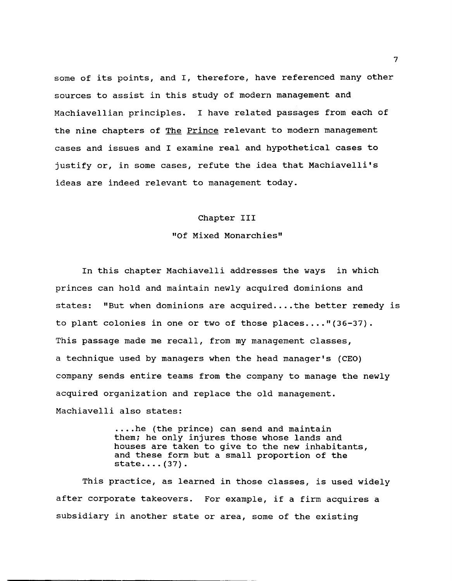some of its points, and I, therefore, have referenced many other sources to assist in this study of modern management and Machiavellian principles. I have related passages from each of the nine chapters of The Prince relevant to modern management cases and issues and I examine real and hypothetical cases to justify or, in some cases, refute the idea that Machiavelli's ideas are indeed relevant to management today.

## Chapter III

#### "Of Mixed Monarchies"

In this chapter Machiavelli addresses the ways in which princes can hold and maintain newly acquired dominions and states: "But when dominions are acquired....the better remedy is to plant colonies in one or two of those places...." $(36-37)$ . This passage made me recall, from my management classes, a technique used by managers when the head manager's (CEO) company sends entire teams from the company to manage the newly acquired organization and replace the old management. Machiavelli also states:

> .... he (the prince) can send and maintain them; he only injures those whose lands and houses are taken to give to the new inhabitants, and these form but a small proportion of the  $state...$  (37).

This practice, as learned in those classes, is used widely after corporate takeovers. For example, if a firm acquires a subsidiary in another state or area, some of the existing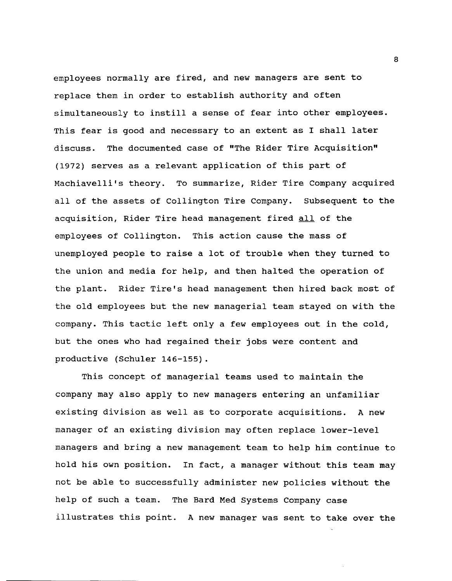employees normally are fired, and new managers are sent to replace them in order to establish authority and often simultaneously to instill a sense of fear into other employees. This fear is good and necessary to an extent as I shall later discuss. The documented case of "The Rider Tire Acquisition" (1972) serves as a relevant application of this part of Machiavelli's theory. To summarize, Rider Tire Company acquired all of the assets of Collington Tire Company. Subsequent to the acquisition, Rider Tire head management fired all of the employees of Collington. This action cause the mass of unemployed people to raise a lot of trouble when they turned to the union and media for help, and then halted the operation of the plant. Rider Tire's head management then hired back most of the old employees but the new managerial team stayed on with the company. This tactic left only a few employees out in the cold, but the ones who had regained their jobs were content and productive (Schuler 146-155).

This concept of managerial teams used to maintain the company may also apply to new managers entering an unfamiliar existing division as well as to corporate acquisitions. A new manager of an existing division may often replace lower-level managers and bring a new management team to help him continue to hold his own position. In fact, a manager without this team may not be able to successfully administer new policies without the help of such a team. The Bard Med Systems Company case illustrates this point. A new manager was sent to take over the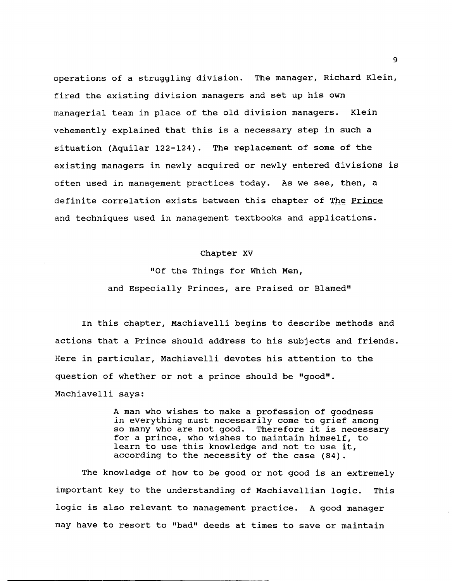operations of a struggling division. The manager, Richard Klein, fired the existing division managers and set up his own managerial team in place of the old division managers. Klein vehemently explained that this is a necessary step in such a situation (Aquilar 122-124). The replacement of some of the existing managers in newly acquired or newly entered divisions is often used in management practices today. As we see, then, a definite correlation exists between this chapter of The Prince and techniques used in management textbooks and applications.

## Chapter XV

"Of the Things for Which Men, and Especially Princes, are Praised or Blamed"

In this chapter, Machiavelli begins to describe methods and actions that a Prince should address to his subjects and friends. Here in particular, Machiavelli devotes his attention to the question of whether or not a prince should be "good". Machiavelli says:

> A man who wishes to make a profession of goodness in everything must necessarily come to grief among so many who are not good. Therefore it is necessary for a prince, who wishes to maintain himself, to learn to use this knowledge and not to use it, according to the necessity of the case (84).

The knowledge of how to be good or not good is an extremely important key to the understanding of Machiavellian logic. This logic is also relevant to management practice. A good manager may have to resort to "bad" deeds at times to save or maintain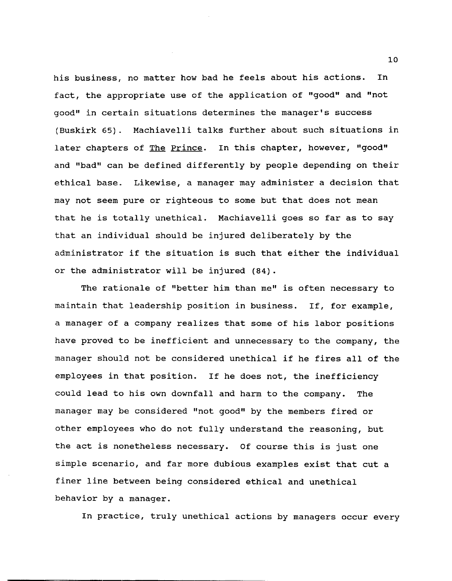his business, no matter how bad he feels about his actions. In fact, the appropriate use of the application of "good" and "not good" in certain situations determines the manager's success (Buskirk 65). Machiavelli talks further about such situations in later chapters of The Prince. In this chapter, however, "good" and "bad" can be defined differently by people depending on their ethical base. Likewise, a manager may administer a decision that may not seem pure or righteous to some but that does not mean that he is totally unethical. Machiavelli goes so far as to say that an individual should be injured deliberately by the administrator if the situation is such that either the individual or the administrator will be injured (84).

The rationale of "better him than me" is often necessary to maintain that leadership position in business. If, for example, a manager of a company realizes that some of his labor positions have proved to be inefficient and unnecessary to the company, the manager should not be considered unethical if he fires all of the employees in that position. If he does not, the inefficiency could lead to his own downfall and harm to the company. The manager may be considered "not good" by the members fired or other employees who do not fully understand the reasoning, but the act is nonetheless necessary. Of course this is just one simple scenario, and far more dubious examples exist that cut a finer line between being considered ethical and unethical behavior by a manager.

In practice, truly unethical actions by managers occur every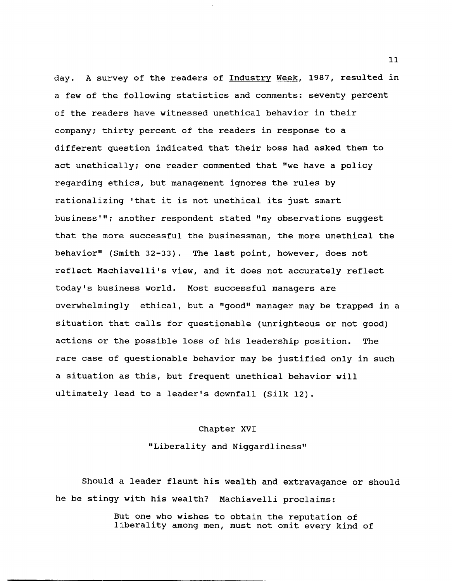day. A survey of the readers of Industry Week, 1987, resulted in a few of the following statistics and comments: seventy percent of the readers have witnessed unethical behavior in their company; thirty percent of the readers in response to a different question indicated that their boss had asked them to act unethically; one reader commented that "we have a policy regarding ethics, but management ignores the rules by rationalizing 'that it is not unethical its just smart business'''; another respondent stated "my observations suggest that the more successful the businessman, the more unethical the behavior" (Smith 32-33). The last point, however, does not reflect Machiavelli's view, and it does not accurately reflect today's business world. Most successful managers are overwhelmingly ethical, but a "good" manager may be trapped in a situation that calls for questionable (unrighteous or not good) actions or the possible loss of his leadership position. The rare case of questionable behavior may be justified only in such a situation as this, but frequent unethical behavior will ultimately lead to a leader's downfall (Silk 12).

## Chapter XVI

"Liberality and Niggardliness"

Should a leader flaunt his wealth and extravagance or should he be stingy with his wealth? Machiavelli proclaims:

> But one who wishes to obtain the reputation of liberality among men, must not omit every kind of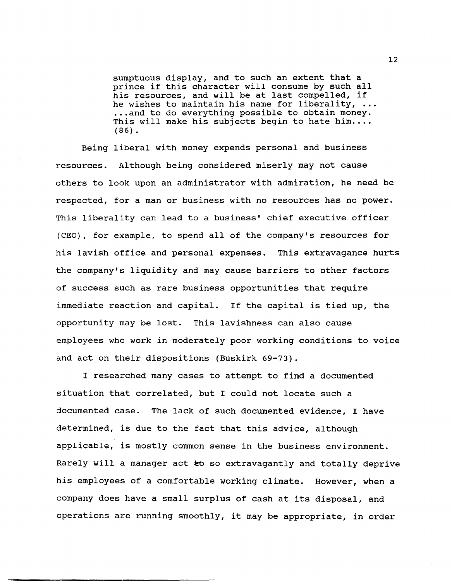sumptuous display, and to such an extent that a prince if this character will consume by such all his resources, and will be at last compelled, if he wishes to maintain his name for liberality,  $\ldots$ ... and to do everything possible to obtain money. This will make his subjects begin to hate him....  $(86)$ .

Being liberal with money expends personal and business resources. Although being considered miserly may not cause others to look upon an administrator with admiration, he need be respected, for a man or business with no resources has no power. This liberality can lead to a business' chief executive officer (CEO), for example, to spend all of the company's resources for his lavish office and personal expenses. This extravagance hurts the company's liquidity and may cause barriers to other factors of success such as rare business opportunities that require immediate reaction and capital. If the capital is tied up, the opportunity may be lost. This lavishness can also cause employees who work in moderately poor working conditions to voice and act on their dispositions (Buskirk 69-73).

I researched many cases to attempt to find a documented situation that correlated, but I could not locate such a documented case. The lack of such documented evidence, I have determined, is due to the fact that this advice, although applicable, is mostly common sense in the business environment. Rarely will a manager act to so extravagantly and totally deprive his employees of a comfortable working climate. However, when a company does have a small surplus of cash at its disposal, and operations are running smoothly, it may be appropriate, in order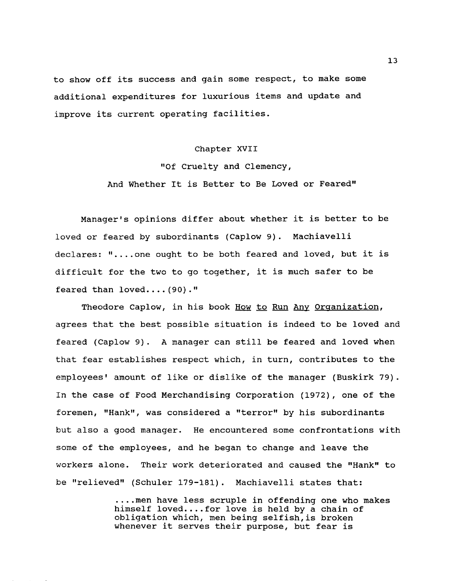to show off its success and gain some respect, to make some additional expenditures for luxurious items and update and improve its current operating facilities.

## Chapter XVII

# "Of Cruelty and Clemency, And Whether It is Better to Be Loved or Feared"

Manager's opinions differ about whether it is better to be loved or feared by subordinants (Caplow 9). Machiavelli declares: "....one ought to be both feared and loved, but it is difficult for the two to go together, it is much safer to be feared than loved....  $(90)$ ."

Theodore Caplow, in his book How to Run Any Organization, agrees that the best possible situation is indeed to be loved and feared (Caplow 9). A manager can still be feared and loved when that fear establishes respect which, in turn, contributes to the employees' amount of like or dislike of the manager (Buskirk 79). In the case of Food Merchandising Corporation (1972), one of the foremen, "Hank", was considered a "terror" by his subordinants but also a good manager. He encountered some confrontations with some of the employees, and he began to change and leave the workers alone. Their work deteriorated and caused the "Hank" to be "relieved" (Schuler 179-181). Machiavelli states that:

> .... men have less scruple in offending one who makes himself loved.... for love is held by a chain of obligation which, men being selfish,is broken whenever it serves their purpose, but fear is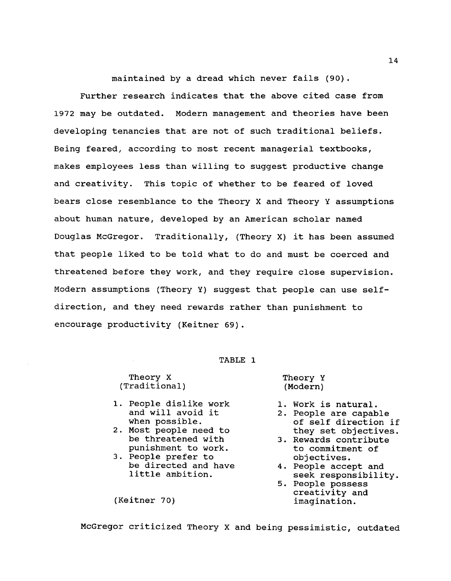maintained by a dread which never fails (90).

Further research indicates that the above cited case from 1972 may be outdated. Modern management and theories have been developing tenancies that are not of such traditional beliefs. Being feared, according to most recent managerial textbooks, makes employees less than willing to suggest productive change and creativity. This topic of whether to be feared of loved bears close resemblance to the Theory X and Theory Y assumptions about human nature, developed by an American scholar named Douglas McGregor. Traditionally, (Theory X) it has been assumed that people liked to be told what to do and must be coerced and threatened before they work, and they require close supervision. Modern assumptions (Theory Y) suggest that people can use selfdirection, and they need rewards rather than punishment to encourage productivity (Keitner 69).

## TABLE 1

Theory X (Traditional)

- 1. People dislike work and will avoid it when possible.
- 2. Most people need to be threatened with punishment to work.
- 3. People prefer to be directed and have little ambition.

(Keitner 70)

Theory Y (Modern)

- 1. Work is natural.
- 2. People are capable of self direction if they set objectives.
- 3. Rewards contribute to commitment of objectives.
- 4. People accept and seek responsibility.
- 5. People possess creativity and imagination.

McGregor criticized Theory X and being pessimistic, outdated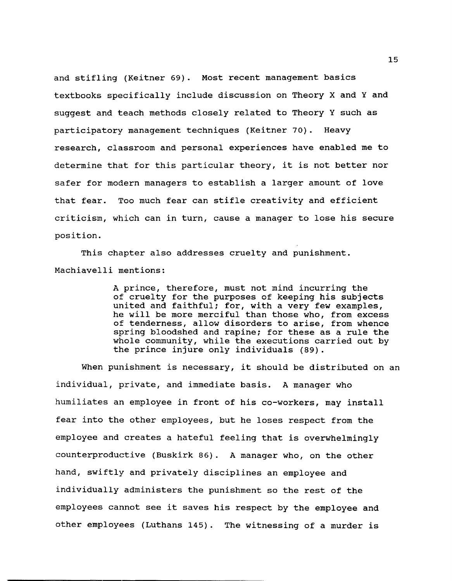and stifling (Keitner 69). Most recent management basics textbooks specifically include discussion on Theory X and Y and suggest and teach methods closely related to Theory Y such as participatory management techniques (Keitner 70). Heavy research, classroom and personal experiences have enabled me to determine that for this particular theory, it is not better nor safer for modern managers to establish a larger amount of love that fear. Too much fear can stifle creativity and efficient criticism, which can in turn, cause a manager to lose his secure position.

This chapter also addresses cruelty and punishment. Machiavelli mentions:

> A prince, therefore, must not mind incurring the of cruelty for the purposes of keeping his subjects united and faithful; for, with a very few examples, he will be more merciful than those who, from excess of tenderness, allow disorders to arise, from whence spring bloodshed and rapine; for these as a rule the whole community, while the executions carried out by the prince injure only individuals (89).

When punishment is necessary, it should be distributed on an individual, private, and immediate basis. A manager who humiliates an employee in front of his co-workers, may install fear into the other employees, but he loses respect from the employee and creates a hateful feeling that is overwhelmingly counterproductive (Buskirk 86). A manager who, on the other hand, swiftly and privately disciplines an employee and individually administers the punishment so the rest of the employees cannot see it saves his respect by the employee and other employees (Luthans 145). The witnessing of a murder is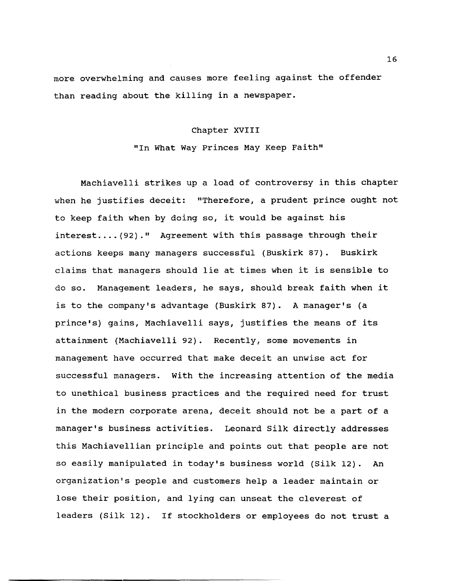more overwhelming and causes more feeling against the offender than reading about the killing in a newspaper.

#### Chapter XVIII

"In What Way Princes May Keep Faith"

Machiavelli strikes up a load of controversy in this chapter when he justifies deceit: "Therefore, a prudent prince ought not to keep faith when by doing so, it would be against his interest.... (92)." Agreement with this passage through their actions keeps many managers successful (Buskirk 87). Buskirk claims that managers should lie at times when it is sensible to do so. Management leaders, he says, should break faith when it is to the company's advantage (Buskirk 87). A manager's (a prince's) gains, Machiavelli says, justifies the means of its attainment (Machiavelli 92). Recently, some movements in management have occurred that make deceit an unwise act for successful managers. with the increasing attention of the media to unethical business practices and the required need for trust in the modern corporate arena, deceit should not be a part of a manager's business activities. Leonard silk directly addresses this Machiavellian principle and points out that people are not so easily manipulated in today's business world (Silk 12). An organization's people and customers help a leader maintain or lose their position, and lying can unseat the cleverest of leaders (Silk 12). If stockholders or employees do not trust a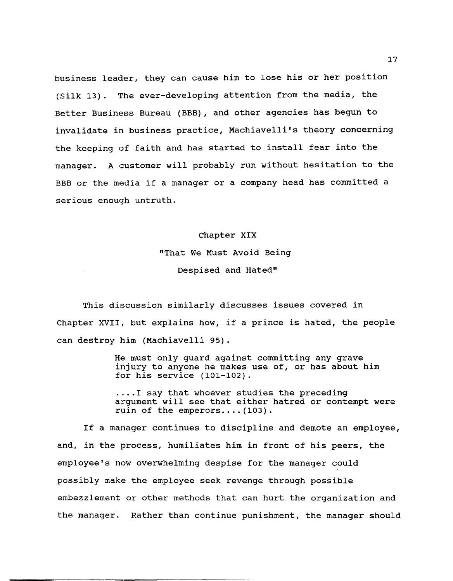business leader, they can cause him to lose his or her position (Silk 13). The ever-developing attention from the media, the Better Business Bureau (BBB) , and other agencies has begun to invalidate in business practice, Machiavelli's theory concerning the keeping of faith and has started to install fear into the manager. A customer will probably run without hesitation to the BBB or the media if a manager or a company head has committed a serious enough untruth.

#### Chapter XIX

"That We Must Avoid Being Despised and Hated"

This discussion similarly discusses issues covered in Chapter XVII, but explains how, if a prince is hated, the people can destroy him (Machiavelli 95).

> He must only guard against committing any grave injury to anyone he makes use of, or has about him for his service (101-102) .

. ... I say that whoever studies the preceding argument will see that either hatred or contempt were ruin of the emperors.... $(103)$ .

If a manager continues to discipline and demote an employee, and, in the process, humiliates him in front of his peers, the employee's now overwhelming despise for the manager could possibly make the employee seek revenge through possible embezzlement or other methods that can hurt the organization and the manager. Rather than continue punishment, the manager should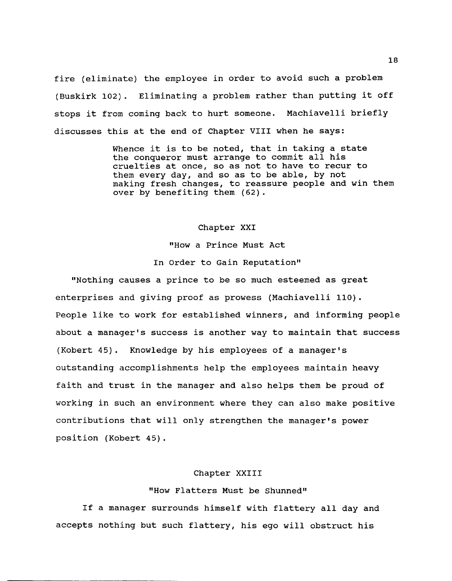fire (eliminate) the employee in order to avoid such a problem (Buskirk 102). Eliminating a problem rather than putting it off stops it from coming back to hurt someone. Machiavelli briefly discusses this at the end of Chapter VIII when he says:

> Whence it is to be noted, that in taking a state the conqueror must arrange to commit all his cruelties at once, so as not to have to recur to them every day, and so as to be able, by not making fresh changes, to reassure people and win them over by benefiting them (62).

## Chapter XXI

"How a Prince Must Act In Order to Gain Reputation"

"Nothing causes a prince to be so much esteemed as great enterprises and giving proof as prowess (Machiavelli 110). People like to work for established winners, and informing people about a manager's success is another way to maintain that success (Kobert 45). Knowledge by his employees of a manager's outstanding accomplishments help the employees maintain heavy faith and trust in the manager and also helps them be proud of working in such an environment where they can also make positive contributions that will only strengthen the manager's power position (Kobert 45).

### Chapter XXIII

## "How Flatters Must be Shunned"

If a manager surrounds himself with flattery all day and accepts nothing but such flattery, his ego will obstruct his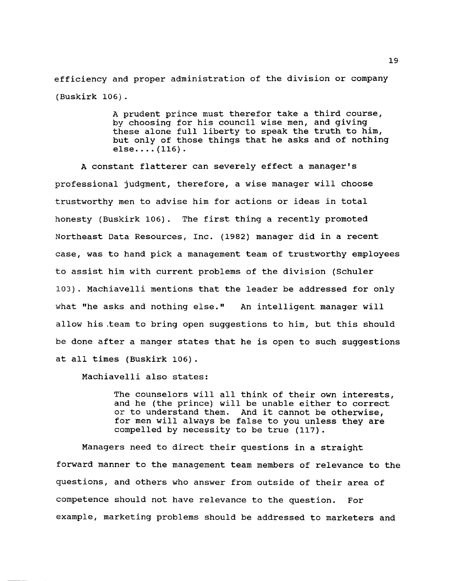efficiency and proper administration of the division or company (Buskirk 106).

> A prudent prince must therefor take a third course, by choosing for his council wise men, and giving these alone full liberty to speak the truth to him, but only of those things that he asks and of nothing else.... $(116)$ .

A constant flatterer can severely effect a manager's professional judgment, therefore, a wise manager will choose trustworthy men to advise him for actions or ideas in total honesty (Buskirk 106). The first thing a recently promoted Northeast Data Resources, Inc. (1982) manager did in a recent case, was to hand pick a management team of trustworthy employees to assist him with current problems of the division (Schuler 103). Machiavelli mentions that the leader be addressed for only what "he asks and nothing else." An intelligent. manager will allow his ,team to bring open suggestions to him, but this should be done after a manger states that he is open to such suggestions at all times (Buskirk 106).

Machiavelli also states:

The counselors will all think of their own interests, and he (the prince) will be unable either to correct or to understand them. And it cannot be otherwise, And it cannot be otherwise, for men will always be false to you unless they are compelled by necessity to be true (117).

Managers need to direct their questions in a straight forward manner to the management team members of relevance to the questions, and others who answer from outside of their area of competence should not have relevance to the question. For example, marketing problems should be addressed to marketers and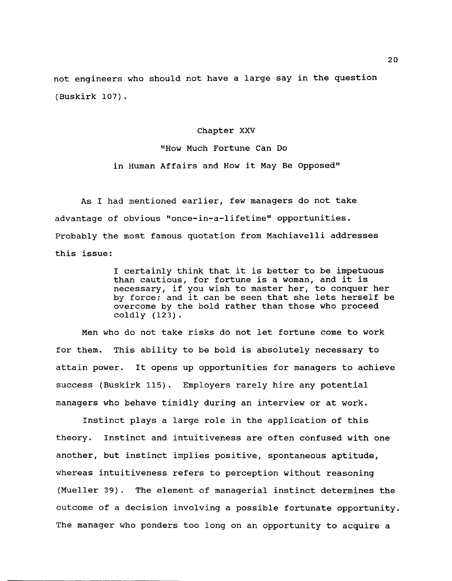not engineers who should not have a large say in the question (Buskirk 107).

#### Chapter XXV

"How Much Fortune Can Do in Human Affairs and How it May Be Opposed"

As I had mentioned earlier, few managers do not take advantage of obvious "once-in-a-lifetime" opportunities. Probably the most famous quotation from Machiavelli addresses this issue:

> I certainly think that it is better to be impetuous than cautious, for fortune is a woman, and it is necessary, if you wish to master her, to conquer her by force; and it can be seen that she lets herself be overcome by the bold rather than those who proceed coldly (123).

Men who do not take risks do not let fortune come to work for them. This ability to be bold is absolutely necessary to attain power. It opens up opportunities for managers to achieve success (Buskirk 115). Employers rarely hire any potential managers who behave timidly during an interview or at work.

Instinct plays a large role in the application of this theory. Instinct and intuitiveness are often confused with one another, but instinct implies positive, spontaneous aptitude, whereas intuitiveness refers to perception without reasoning (Mueller 39). The element of managerial instinct determines the outcome of a decision involving a possible fortunate opportunity. The manager who ponders too long on an opportunity to acquire a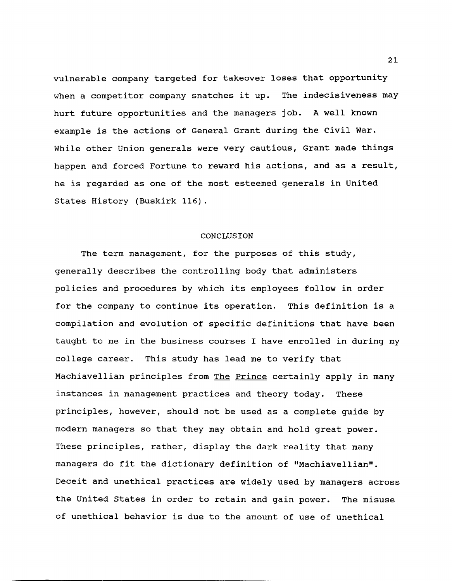vulnerable company targeted for takeover loses that opportunity when a competitor company snatches it up. The indecisiveness may hurt future opportunities and the managers job. A well known example is the actions of General Grant during the civil War. While other Union generals were very cautious, Grant made things happen and forced Fortune to reward his actions, and as a result, he is regarded as one of the most esteemed generals in United states History (Buskirk 116).

## CONCLUSION

The term management, for the purposes of this study, generally describes the controlling body that administers policies and procedures by which its employees follow in order for the company to continue its operation. This definition is a compilation and evolution of specific definitions that have been taught to me in the business courses I have enrolled in during my college career. This study has lead me to verify that Machiavellian principles from The Prince certainly apply in many instances in management practices and theory today. These principles, however, should not be used as a complete guide by modern managers so that they may obtain and hold great power. These principles, rather, display the dark reality that many managers do fit the dictionary definition of "Machiavellian". Deceit and unethical practices are widely used by managers across the United states in order to retain and gain power. The misuse of unethical behavior is due to the amount of use of unethical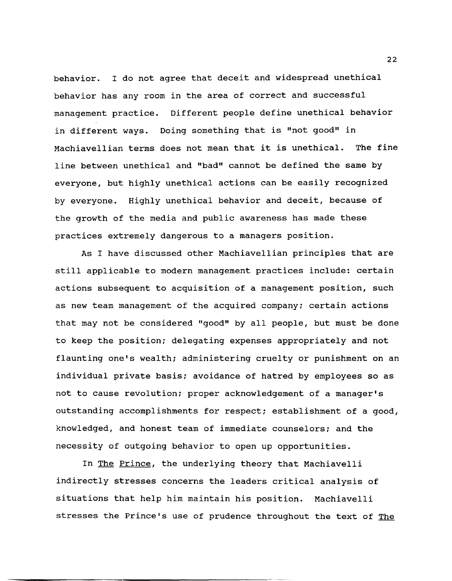behavior. I do not agree that deceit and widespread unethical behavior has any room in the area of correct and successful management practice. Different people define unethical behavior in different ways. Doing something that is "not good" in Machiavellian terms does not mean that it is unethical. The fine line between unethical and "bad" cannot be defined the same by everyone, but highly unethical actions can be easily recognized by everyone. Highly unethical behavior and deceit, because of the growth of the media and public awareness has made these practices extremely dangerous to a managers position.

As I have discussed other Machiavellian principles that are still applicable to modern management practices include: certain actions subsequent to acquisition of a management position, such as new team management of the acquired company; certain actions that may not be considered "good" by all people, but must be done to keep the position; delegating expenses appropriately and not flaunting one's wealth; administering cruelty or punishment on an individual private basis; avoidance of hatred by employees so as not to cause revolution; proper acknowledgement of a manager's outstanding accomplishments for respect; establishment of a good, knowledged, and honest team of immediate counselors; and the necessity of outgoing behavior to open up opportunities.

In The Prince, the underlying theory that Machiavelli indirectly stresses concerns the leaders critical analysis of situations that help him maintain his position. Machiavelli stresses the Prince's use of prudence throughout the text of The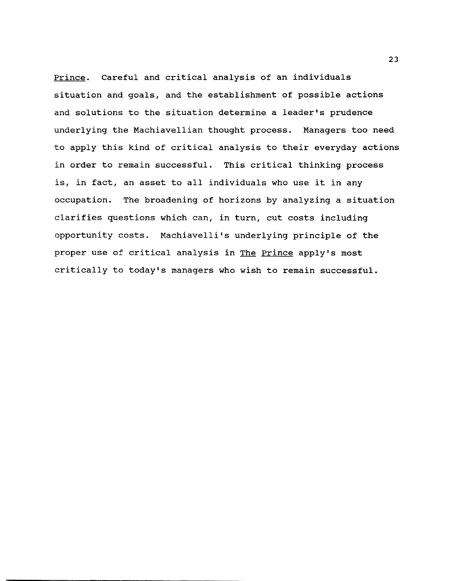Prince. Careful and critical analysis of an individuals situation and goals, and the establishment of possible actions and solutions to the situation determine a leader's prudence underlying the Machiavellian thought process. Managers too need to apply this kind of critical analysis to their everyday actions in order to remain successful. This critical thinking process is, in fact, an asset to all individuals who use it in any occupation. The broadening of horizons by analyzing a situation clarifies questions which can, in turn, cut costs including opportunity costs. Machiavelli's underlying principle of the proper use of critical analysis in The Prince apply's most critically to today's managers who wish to remain successful.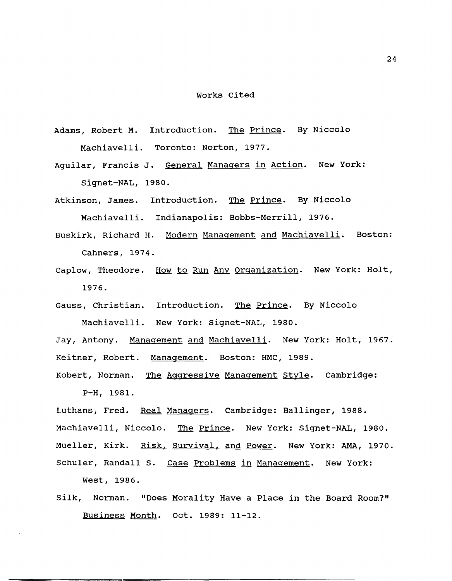#### Works cited

- Adams, Robert M. Introduction. The Prince. By Niccolo Machiavelli. Toronto: Norton, 1977.
- Aguilar, Francis J. General Managers in Action. New York: Signet-NAL, 1980.
- Atkinson, James. Introduction. Th<u>e Prince</u>. By Niccolo Machiavelli. Indianapolis: Bobbs-Merrill, 1976.
- Buskirk, Richard H. Modern Management and Machiavelli. Boston: Cahners, 1974.
- Caplow, Theodore. How to Run Any Organization. New York: Holt, 1976.
- Gauss, Christian. Introduction. The Prince. By Niccolo Machiavelli. New York: Signet-NAL, 1980.

Jay, Antony. Management and Machiavelli. New York: Holt, 1967. Keitner, Robert. Management. Boston: HMC, 1989.

Kobert, Norman. The Aggressive Management style. Cambridge: P-H, 1981.

Luthans, Fred. Real Managers. Cambridge: Ballinger, 1988. Machiavelli, Niccolo. The Prince. New York: Signet-NAL, 1980. Mueller, Kirk. Risk, Survival, and Power. New York: AMA, 1970. Schuler, Randall S. Case Problems in Management. New York:

West, 1986.

Silk, Norman. "Does Morality Have a Place in the Board Room?" Business Month. Oct. 1989: 11-12.